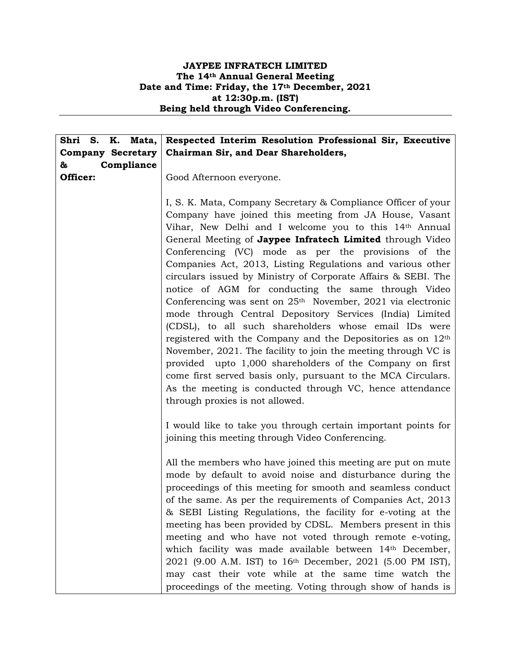## **JAYPEE INFRATECH LIMITED The 14th Annual General Meeting Date and Time: Friday, the 17th December, 2021 at 12:30p.m. (IST) Being held through Video Conferencing.**

| Shri S. K. Mata,         | Respected Interim Resolution Professional Sir, Executive                |
|--------------------------|-------------------------------------------------------------------------|
| <b>Company Secretary</b> | Chairman Sir, and Dear Shareholders,                                    |
| Compliance<br>&          |                                                                         |
| Officer:                 | Good Afternoon everyone.                                                |
|                          |                                                                         |
|                          | I, S. K. Mata, Company Secretary & Compliance Officer of your           |
|                          | Company have joined this meeting from JA House, Vasant                  |
|                          | Vihar, New Delhi and I welcome you to this 14th Annual                  |
|                          | General Meeting of Jaypee Infratech Limited through Video               |
|                          | Conferencing (VC) mode as per the provisions of the                     |
|                          | Companies Act, 2013, Listing Regulations and various other              |
|                          | circulars issued by Ministry of Corporate Affairs & SEBI. The           |
|                          | notice of AGM for conducting the same through Video                     |
|                          | Conferencing was sent on 25 <sup>th</sup> November, 2021 via electronic |
|                          | mode through Central Depository Services (India) Limited                |
|                          | (CDSL), to all such shareholders whose email IDs were                   |
|                          | registered with the Company and the Depositories as on $12th$           |
|                          | November, 2021. The facility to join the meeting through VC is          |
|                          | provided upto 1,000 shareholders of the Company on first                |
|                          | come first served basis only, pursuant to the MCA Circulars.            |
|                          | As the meeting is conducted through VC, hence attendance                |
|                          | through proxies is not allowed.                                         |
|                          |                                                                         |
|                          | I would like to take you through certain important points for           |
|                          | joining this meeting through Video Conferencing.                        |
|                          |                                                                         |
|                          | All the members who have joined this meeting are put on mute            |
|                          | mode by default to avoid noise and disturbance during the               |
|                          | proceedings of this meeting for smooth and seamless conduct             |
|                          | of the same. As per the requirements of Companies Act, 2013             |
|                          | & SEBI Listing Regulations, the facility for e-voting at the            |
|                          | meeting has been provided by CDSL. Members present in this              |
|                          | meeting and who have not voted through remote e-voting,                 |
|                          | which facility was made available between 14th December,                |
|                          | 2021 (9.00 A.M. IST) to 16 <sup>th</sup> December, 2021 (5.00 PM IST),  |
|                          | may cast their vote while at the same time watch the                    |
|                          | proceedings of the meeting. Voting through show of hands is             |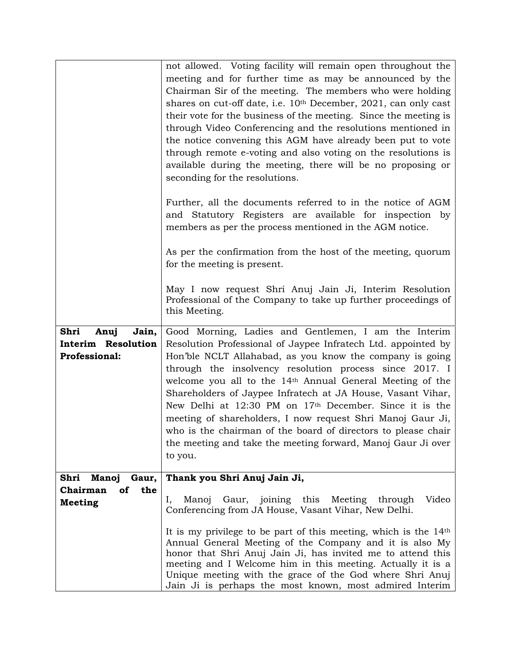|                                                        | not allowed. Voting facility will remain open throughout the<br>meeting and for further time as may be announced by the<br>Chairman Sir of the meeting. The members who were holding<br>shares on cut-off date, i.e. 10 <sup>th</sup> December, 2021, can only cast                                                                                                                          |
|--------------------------------------------------------|----------------------------------------------------------------------------------------------------------------------------------------------------------------------------------------------------------------------------------------------------------------------------------------------------------------------------------------------------------------------------------------------|
|                                                        | their vote for the business of the meeting. Since the meeting is<br>through Video Conferencing and the resolutions mentioned in<br>the notice convening this AGM have already been put to vote<br>through remote e-voting and also voting on the resolutions is<br>available during the meeting, there will be no proposing or<br>seconding for the resolutions.                             |
|                                                        | Further, all the documents referred to in the notice of AGM<br>and Statutory Registers are available for inspection by<br>members as per the process mentioned in the AGM notice.                                                                                                                                                                                                            |
|                                                        | As per the confirmation from the host of the meeting, quorum<br>for the meeting is present.                                                                                                                                                                                                                                                                                                  |
|                                                        | May I now request Shri Anuj Jain Ji, Interim Resolution<br>Professional of the Company to take up further proceedings of<br>this Meeting.                                                                                                                                                                                                                                                    |
| Shri<br>Jain,<br>Anuj                                  | Good Morning, Ladies and Gentlemen, I am the Interim                                                                                                                                                                                                                                                                                                                                         |
| <b>Interim Resolution</b>                              | Resolution Professional of Jaypee Infratech Ltd. appointed by                                                                                                                                                                                                                                                                                                                                |
| <b>Professional:</b>                                   | Hon'ble NCLT Allahabad, as you know the company is going                                                                                                                                                                                                                                                                                                                                     |
|                                                        | through the insolvency resolution process since 2017. I                                                                                                                                                                                                                                                                                                                                      |
|                                                        | welcome you all to the 14 <sup>th</sup> Annual General Meeting of the                                                                                                                                                                                                                                                                                                                        |
|                                                        | Shareholders of Jaypee Infratech at JA House, Vasant Vihar,<br>New Delhi at $12:30$ PM on $17th$ December. Since it is the                                                                                                                                                                                                                                                                   |
|                                                        | meeting of shareholders, I now request Shri Manoj Gaur Ji,                                                                                                                                                                                                                                                                                                                                   |
|                                                        | who is the chairman of the board of directors to please chair                                                                                                                                                                                                                                                                                                                                |
|                                                        | the meeting and take the meeting forward, Manoj Gaur Ji over                                                                                                                                                                                                                                                                                                                                 |
|                                                        | to you.                                                                                                                                                                                                                                                                                                                                                                                      |
|                                                        |                                                                                                                                                                                                                                                                                                                                                                                              |
| Shri<br><b>Manoj</b><br>Gaur,<br>Chairman<br>the<br>of | Thank you Shri Anuj Jain Ji,                                                                                                                                                                                                                                                                                                                                                                 |
| <b>Meeting</b>                                         | Manoj Gaur, joining this Meeting through Video<br>Ι,<br>Conferencing from JA House, Vasant Vihar, New Delhi.                                                                                                                                                                                                                                                                                 |
|                                                        | It is my privilege to be part of this meeting, which is the 14 <sup>th</sup><br>Annual General Meeting of the Company and it is also My<br>honor that Shri Anuj Jain Ji, has invited me to attend this<br>meeting and I Welcome him in this meeting. Actually it is a<br>Unique meeting with the grace of the God where Shri Anuj<br>Jain Ji is perhaps the most known, most admired Interim |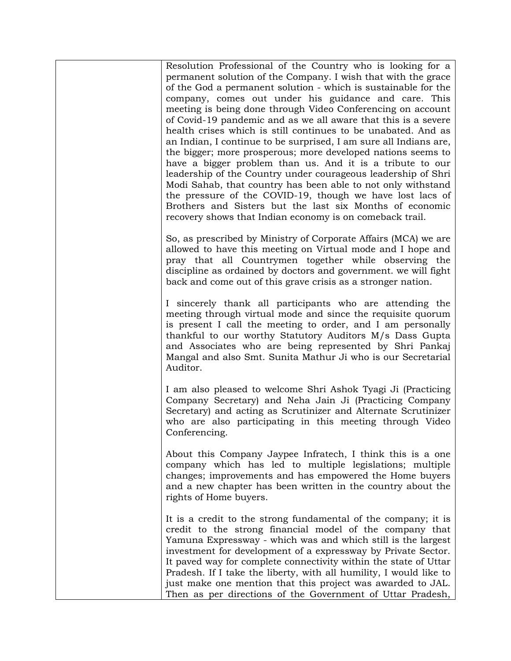Resolution Professional of the Country who is looking for a permanent solution of the Company. I wish that with the grace of the God a permanent solution - which is sustainable for the company, comes out under his guidance and care. This meeting is being done through Video Conferencing on account of Covid-19 pandemic and as we all aware that this is a severe health crises which is still continues to be unabated. And as an Indian, I continue to be surprised, I am sure all Indians are, the bigger; more prosperous; more developed nations seems to have a bigger problem than us. And it is a tribute to our leadership of the Country under courageous leadership of Shri Modi Sahab, that country has been able to not only withstand the pressure of the COVID-19, though we have lost lacs of Brothers and Sisters but the last six Months of economic recovery shows that Indian economy is on comeback trail.

So, as prescribed by Ministry of Corporate Affairs (MCA) we are allowed to have this meeting on Virtual mode and I hope and pray that all Countrymen together while observing the discipline as ordained by doctors and government. we will fight back and come out of this grave crisis as a stronger nation.

I sincerely thank all participants who are attending the meeting through virtual mode and since the requisite quorum is present I call the meeting to order, and I am personally thankful to our worthy Statutory Auditors M/s Dass Gupta and Associates who are being represented by Shri Pankaj Mangal and also Smt. Sunita Mathur Ji who is our Secretarial Auditor.

I am also pleased to welcome Shri Ashok Tyagi Ji (Practicing Company Secretary) and Neha Jain Ji (Practicing Company Secretary) and acting as Scrutinizer and Alternate Scrutinizer who are also participating in this meeting through Video Conferencing.

About this Company Jaypee Infratech, I think this is a one company which has led to multiple legislations; multiple changes; improvements and has empowered the Home buyers and a new chapter has been written in the country about the rights of Home buyers.

It is a credit to the strong fundamental of the company; it is credit to the strong financial model of the company that Yamuna Expressway - which was and which still is the largest investment for development of a expressway by Private Sector. It paved way for complete connectivity within the state of Uttar Pradesh. If I take the liberty, with all humility, I would like to just make one mention that this project was awarded to JAL. Then as per directions of the Government of Uttar Pradesh,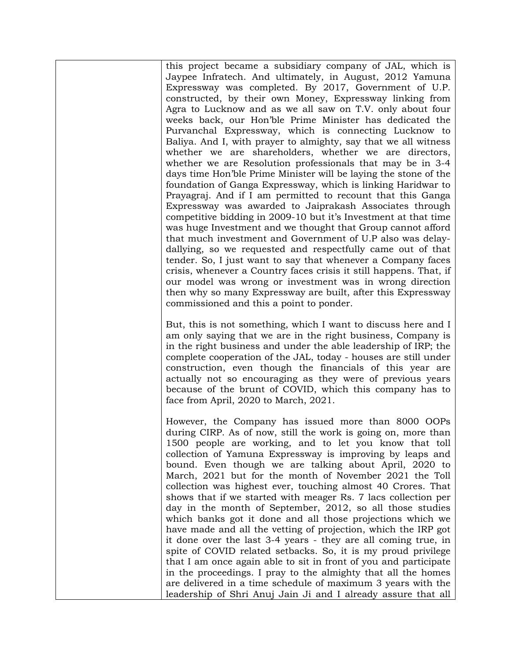this project became a subsidiary company of JAL, which is Jaypee Infratech. And ultimately, in August, 2012 Yamuna Expressway was completed. By 2017, Government of U.P. constructed, by their own Money, Expressway linking from Agra to Lucknow and as we all saw on T.V. only about four weeks back, our Hon'ble Prime Minister has dedicated the Purvanchal Expressway, which is connecting Lucknow to Baliya. And I, with prayer to almighty, say that we all witness whether we are shareholders, whether we are directors, whether we are Resolution professionals that may be in 3-4 days time Hon'ble Prime Minister will be laying the stone of the foundation of Ganga Expressway, which is linking Haridwar to Prayagraj. And if I am permitted to recount that this Ganga Expressway was awarded to Jaiprakash Associates through competitive bidding in 2009-10 but it's Investment at that time was huge Investment and we thought that Group cannot afford that much investment and Government of U.P also was delaydallying, so we requested and respectfully came out of that tender. So, I just want to say that whenever a Company faces crisis, whenever a Country faces crisis it still happens. That, if our model was wrong or investment was in wrong direction then why so many Expressway are built, after this Expressway commissioned and this a point to ponder.

But, this is not something, which I want to discuss here and I am only saying that we are in the right business, Company is in the right business and under the able leadership of IRP; the complete cooperation of the JAL, today - houses are still under construction, even though the financials of this year are actually not so encouraging as they were of previous years because of the brunt of COVID, which this company has to face from April, 2020 to March, 2021.

However, the Company has issued more than 8000 OOPs during CIRP. As of now, still the work is going on, more than 1500 people are working, and to let you know that toll collection of Yamuna Expressway is improving by leaps and bound. Even though we are talking about April, 2020 to March, 2021 but for the month of November 2021 the Toll collection was highest ever, touching almost 40 Crores. That shows that if we started with meager Rs. 7 lacs collection per day in the month of September, 2012, so all those studies which banks got it done and all those projections which we have made and all the vetting of projection, which the IRP got it done over the last 3-4 years - they are all coming true, in spite of COVID related setbacks. So, it is my proud privilege that I am once again able to sit in front of you and participate in the proceedings. I pray to the almighty that all the homes are delivered in a time schedule of maximum 3 years with the leadership of Shri Anuj Jain Ji and I already assure that all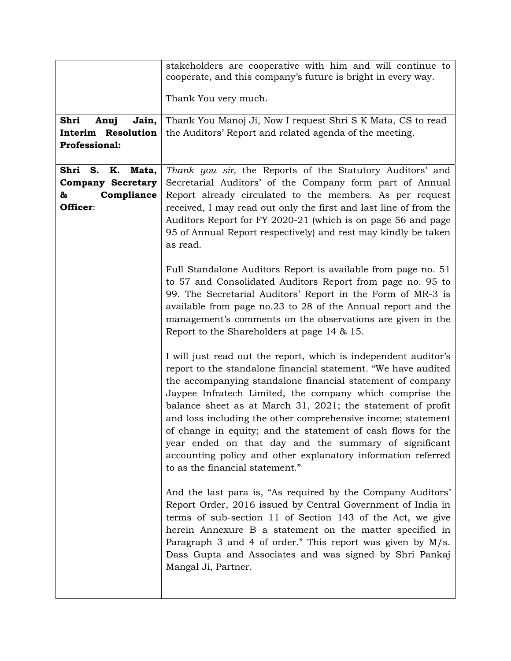|                                                                                   | stakeholders are cooperative with him and will continue to<br>cooperate, and this company's future is bright in every way.                                                                                                                                                                                                                                                                                                                                                                                                                                                                                             |
|-----------------------------------------------------------------------------------|------------------------------------------------------------------------------------------------------------------------------------------------------------------------------------------------------------------------------------------------------------------------------------------------------------------------------------------------------------------------------------------------------------------------------------------------------------------------------------------------------------------------------------------------------------------------------------------------------------------------|
|                                                                                   | Thank You very much.                                                                                                                                                                                                                                                                                                                                                                                                                                                                                                                                                                                                   |
| Shri<br>Jain,<br>Anuj<br>Interim Resolution<br><b>Professional:</b>               | Thank You Manoj Ji, Now I request Shri S K Mata, CS to read<br>the Auditors' Report and related agenda of the meeting.                                                                                                                                                                                                                                                                                                                                                                                                                                                                                                 |
| Shri S.<br>K.<br>Mata,<br><b>Company Secretary</b><br>Compliance<br>&<br>Officer: | Thank you sir, the Reports of the Statutory Auditors' and<br>Secretarial Auditors' of the Company form part of Annual<br>Report already circulated to the members. As per request<br>received, I may read out only the first and last line of from the<br>Auditors Report for FY 2020-21 (which is on page 56 and page<br>95 of Annual Report respectively) and rest may kindly be taken<br>as read.                                                                                                                                                                                                                   |
|                                                                                   | Full Standalone Auditors Report is available from page no. 51<br>to 57 and Consolidated Auditors Report from page no. 95 to<br>99. The Secretarial Auditors' Report in the Form of MR-3 is<br>available from page no.23 to 28 of the Annual report and the<br>management's comments on the observations are given in the<br>Report to the Shareholders at page $14 \& 15$ .                                                                                                                                                                                                                                            |
|                                                                                   | I will just read out the report, which is independent auditor's<br>report to the standalone financial statement. "We have audited<br>the accompanying standalone financial statement of company<br>Jaypee Infratech Limited, the company which comprise the<br>balance sheet as at March 31, 2021; the statement of profit<br>and loss including the other comprehensive income; statement<br>of change in equity; and the statement of cash flows for the<br>year ended on that day and the summary of significant<br>accounting policy and other explanatory information referred<br>to as the financial statement." |
|                                                                                   | And the last para is, "As required by the Company Auditors'<br>Report Order, 2016 issued by Central Government of India in<br>terms of sub-section 11 of Section 143 of the Act, we give<br>herein Annexure B a statement on the matter specified in<br>Paragraph 3 and 4 of order." This report was given by $M/s$ .<br>Dass Gupta and Associates and was signed by Shri Pankaj<br>Mangal Ji, Partner.                                                                                                                                                                                                                |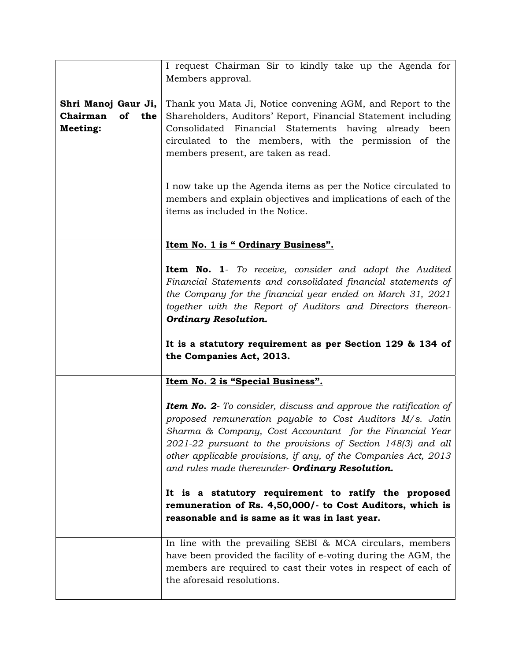| I request Chairman Sir to kindly take up the Agenda for                 |
|-------------------------------------------------------------------------|
|                                                                         |
|                                                                         |
| Thank you Mata Ji, Notice convening AGM, and Report to the              |
| Shareholders, Auditors' Report, Financial Statement including           |
| Consolidated Financial Statements having already been                   |
|                                                                         |
| circulated to the members, with the permission of the                   |
|                                                                         |
|                                                                         |
|                                                                         |
| I now take up the Agenda items as per the Notice circulated to          |
| members and explain objectives and implications of each of the          |
|                                                                         |
|                                                                         |
|                                                                         |
|                                                                         |
| <b>Item No. 1-</b> To receive, consider and adopt the Audited           |
|                                                                         |
| Financial Statements and consolidated financial statements of           |
| the Company for the financial year ended on March 31, 2021              |
| together with the Report of Auditors and Directors thereon-             |
|                                                                         |
|                                                                         |
|                                                                         |
| It is a statutory requirement as per Section 129 & 134 of               |
|                                                                         |
|                                                                         |
|                                                                         |
|                                                                         |
| <b>Item No. 2-</b> To consider, discuss and approve the ratification of |
| proposed remuneration payable to Cost Auditors M/s. Jatin               |
| Sharma & Company, Cost Accountant for the Financial Year                |
| 2021-22 pursuant to the provisions of Section 148(3) and all            |
| other applicable provisions, if any, of the Companies Act, 2013         |
|                                                                         |
|                                                                         |
| It is a statutory requirement to ratify the proposed                    |
| remuneration of Rs. 4,50,000/- to Cost Auditors, which is               |
|                                                                         |
|                                                                         |
| In line with the prevailing SEBI & MCA circulars, members               |
| have been provided the facility of e-voting during the AGM, the         |
|                                                                         |
| members are required to cast their votes in respect of each of          |
|                                                                         |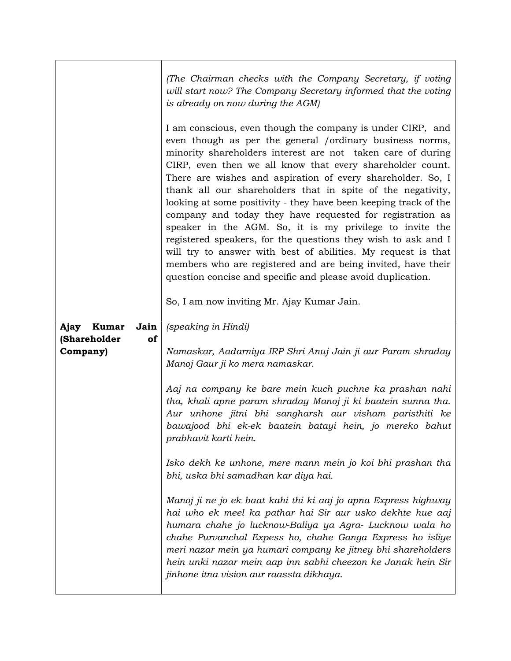|                          |      | (The Chairman checks with the Company Secretary, if voting<br>will start now? The Company Secretary informed that the voting<br>is already on now during the AGM)                                                                                                                                                                                                                                                                                                                                                                                                                                                                                                                                                                                                                                                                                                                            |
|--------------------------|------|----------------------------------------------------------------------------------------------------------------------------------------------------------------------------------------------------------------------------------------------------------------------------------------------------------------------------------------------------------------------------------------------------------------------------------------------------------------------------------------------------------------------------------------------------------------------------------------------------------------------------------------------------------------------------------------------------------------------------------------------------------------------------------------------------------------------------------------------------------------------------------------------|
|                          |      | I am conscious, even though the company is under CIRP, and<br>even though as per the general /ordinary business norms,<br>minority shareholders interest are not taken care of during<br>CIRP, even then we all know that every shareholder count.<br>There are wishes and aspiration of every shareholder. So, I<br>thank all our shareholders that in spite of the negativity,<br>looking at some positivity - they have been keeping track of the<br>company and today they have requested for registration as<br>speaker in the AGM. So, it is my privilege to invite the<br>registered speakers, for the questions they wish to ask and I<br>will try to answer with best of abilities. My request is that<br>members who are registered and are being invited, have their<br>question concise and specific and please avoid duplication.<br>So, I am now inviting Mr. Ajay Kumar Jain. |
| Ajay<br><b>Kumar</b>     | Jain | (speaking in Hindi)                                                                                                                                                                                                                                                                                                                                                                                                                                                                                                                                                                                                                                                                                                                                                                                                                                                                          |
| (Shareholder<br>Company) | of   | Namaskar, Aadarniya IRP Shri Anuj Jain ji aur Param shraday<br>Manoj Gaur ji ko mera namaskar.<br>Aaj na company ke bare mein kuch puchne ka prashan nahi                                                                                                                                                                                                                                                                                                                                                                                                                                                                                                                                                                                                                                                                                                                                    |
|                          |      | tha, khali apne param shraday Manoj ji ki baatein sunna tha.<br>Aur unhone jitni bhi sangharsh aur visham paristhiti ke<br>bawajood bhi ek-ek baatein batayi hein, jo mereko bahut<br>prabhavit karti hein.                                                                                                                                                                                                                                                                                                                                                                                                                                                                                                                                                                                                                                                                                  |
|                          |      | Isko dekh ke unhone, mere mann mein jo koi bhi prashan tha<br>bhi, uska bhi samadhan kar diya hai.                                                                                                                                                                                                                                                                                                                                                                                                                                                                                                                                                                                                                                                                                                                                                                                           |
|                          |      | Manoj ji ne jo ek baat kahi thi ki aaj jo apna Express highway<br>hai who ek meel ka pathar hai Sir aur usko dekhte hue aaj<br>humara chahe jo lucknow-Baliya ya Agra- Lucknow wala ho<br>chahe Purvanchal Expess ho, chahe Ganga Express ho isliye<br>meri nazar mein ya humari company ke jitney bhi shareholders<br>hein unki nazar mein aap inn sabhi cheezon ke Janak hein Sir<br>jinhone itna vision aur raassta dikhaya.                                                                                                                                                                                                                                                                                                                                                                                                                                                              |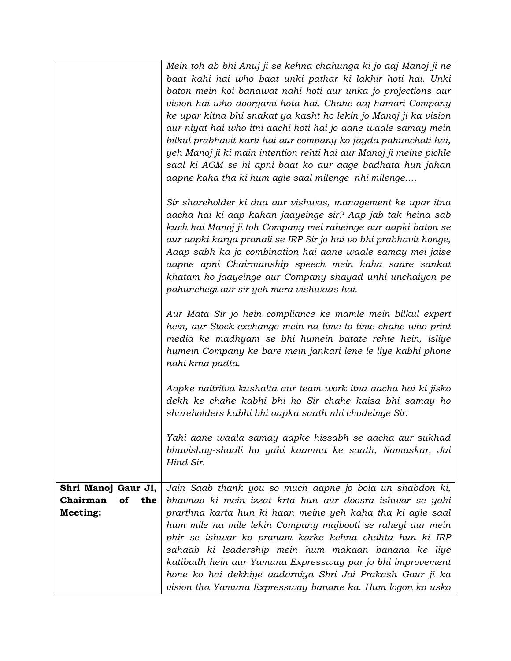|                                                          | Mein toh ab bhi Anuj ji se kehna chahunga ki jo aaj Manoj ji ne<br>baat kahi hai who baat unki pathar ki lakhir hoti hai. Unki<br>baton mein koi banawat nahi hoti aur unka jo projections aur<br>vision hai who doorgami hota hai. Chahe aaj hamari Company<br>ke upar kitna bhi snakat ya kasht ho lekin jo Manoj ji ka vision<br>aur niyat hai who itni aachi hoti hai jo aane waale samay mein<br>bilkul prabhavit karti hai aur company ko fayda pahunchati hai,<br>yeh Manoj ji ki main intention rehti hai aur Manoj ji meine pichle<br>saal ki AGM se hi apni baat ko aur aage badhata hun jahan<br>aapne kaha tha ki hum agle saal milenge nhi milenge |
|----------------------------------------------------------|-----------------------------------------------------------------------------------------------------------------------------------------------------------------------------------------------------------------------------------------------------------------------------------------------------------------------------------------------------------------------------------------------------------------------------------------------------------------------------------------------------------------------------------------------------------------------------------------------------------------------------------------------------------------|
|                                                          | Sir shareholder ki dua aur vishwas, management ke upar itna<br>aacha hai ki aap kahan jaayeinge sir? Aap jab tak heina sab<br>kuch hai Manoj ji toh Company mei raheinge aur aapki baton se<br>aur aapki karya pranali se IRP Sir jo hai vo bhi prabhavit honge,<br>Aaap sabh ka jo combination hai aane waale samay mei jaise<br>aapne apni Chairmanship speech mein kaha saare sankat<br>khatam ho jaayeinge aur Company shayad unhi unchaiyon pe<br>pahunchegi aur sir yeh mera vishwaas hai.                                                                                                                                                                |
|                                                          | Aur Mata Sir jo hein compliance ke mamle mein bilkul expert<br>hein, aur Stock exchange mein na time to time chahe who print<br>media ke madhyam se bhi humein batate rehte hein, isliye<br>humein Company ke bare mein jankari lene le liye kabhi phone<br>nahi krna padta.                                                                                                                                                                                                                                                                                                                                                                                    |
|                                                          | Aapke naitritva kushalta aur team work itna aacha hai ki jisko<br>dekh ke chahe kabhi bhi ho Sir chahe kaisa bhi samay ho<br>shareholders kabhi bhi aapka saath nhi chodeinge Sir.                                                                                                                                                                                                                                                                                                                                                                                                                                                                              |
|                                                          | Yahi aane waala samay aapke hissabh se aacha aur sukhad<br>bhavishay-shaali ho yahi kaamna ke saath, Namaskar, Jai<br>Hind Sir.                                                                                                                                                                                                                                                                                                                                                                                                                                                                                                                                 |
| Shri Manoj Gaur Ji,<br>Chairman<br>the<br>of<br>Meeting: | Jain Saab thank you so much aapne jo bola un shabdon ki,<br>bhavnao ki mein izzat krta hun aur doosra ishwar se yahi<br>prarthna karta hun ki haan meine yeh kaha tha ki agle saal<br>hum mile na mile lekin Company majbooti se rahegi aur mein<br>phir se ishwar ko pranam karke kehna chahta hun ki IRP<br>sahaab ki leadership mein hum makaan banana ke liye                                                                                                                                                                                                                                                                                               |
|                                                          | katibadh hein aur Yamuna Expressway par jo bhi improvement<br>hone ko hai dekhiye aadarniya Shri Jai Prakash Gaur ji ka<br>vision tha Yamuna Expressway banane ka. Hum logon ko usko                                                                                                                                                                                                                                                                                                                                                                                                                                                                            |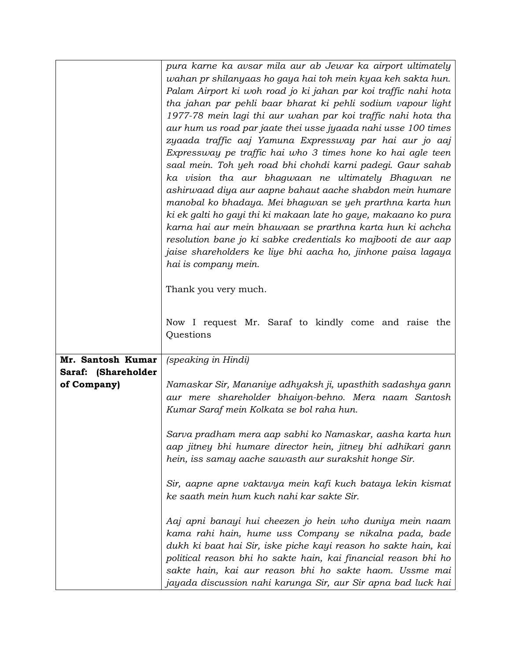|                     | pura karne ka avsar mila aur ab Jewar ka airport ultimately     |
|---------------------|-----------------------------------------------------------------|
|                     | wahan pr shilanyaas ho gaya hai toh mein kyaa keh sakta hun.    |
|                     | Palam Airport ki woh road jo ki jahan par koi traffic nahi hota |
|                     | tha jahan par pehli baar bharat ki pehli sodium vapour light    |
|                     | 1977-78 mein lagi thi aur wahan par koi traffic nahi hota tha   |
|                     | aur hum us road par jaate thei usse jyaada nahi usse 100 times  |
|                     |                                                                 |
|                     | zyaada traffic aaj Yamuna Expressway par hai aur jo aaj         |
|                     | Expressway pe traffic hai who 3 times hone ko hai agle teen     |
|                     | saal mein. Toh yeh road bhi chohdi karni padegi. Gaur sahab     |
|                     | ka vision tha aur bhagwaan ne ultimately Bhagwan ne             |
|                     | ashirwaad diya aur aapne bahaut aache shabdon mein humare       |
|                     | manobal ko bhadaya. Mei bhagwan se yeh prarthna karta hun       |
|                     | ki ek galti ho gayi thi ki makaan late ho gaye, makaano ko pura |
|                     | karna hai aur mein bhawaan se prarthna karta hun ki achcha      |
|                     | resolution bane jo ki sabke credentials ko majbooti de aur aap  |
|                     | jaise shareholders ke liye bhi aacha ho, jinhone paisa lagaya   |
|                     | hai is company mein.                                            |
|                     |                                                                 |
|                     | Thank you very much.                                            |
|                     |                                                                 |
|                     |                                                                 |
|                     | Now I request Mr. Saraf to kindly come and raise the            |
|                     | Questions                                                       |
|                     |                                                                 |
| Mr. Santosh Kumar   | (speaking in Hindi)                                             |
| Saraf: (Shareholder |                                                                 |
| of Company)         | Namaskar Sir, Mananiye adhyaksh ji, upasthith sadashya gann     |
|                     | aur mere shareholder bhaiyon-behno. Mera naam Santosh           |
|                     | Kumar Saraf mein Kolkata se bol raha hun.                       |
|                     |                                                                 |
|                     | Sarva pradham mera aap sabhi ko Namaskar, aasha karta hun       |
|                     |                                                                 |
|                     | aap jitney bhi humare director hein, jitney bhi adhikari gann   |
|                     | hein, iss samay aache sawasth aur surakshit honge Sir.          |
|                     |                                                                 |
|                     | Sir, aapne apne vaktavya mein kafi kuch bataya lekin kismat     |
|                     | ke saath mein hum kuch nahi kar sakte Sir.                      |
|                     |                                                                 |
|                     | Aaj apni banayi hui cheezen jo hein who duniya mein naam        |
|                     | kama rahi hain, hume uss Company se nikalna pada, bade          |
|                     | dukh ki baat hai Sir, iske piche kayi reason ho sakte hain, kai |
|                     | political reason bhi ho sakte hain, kai financial reason bhi ho |
|                     | sakte hain, kai aur reason bhi ho sakte haom. Ussme mai         |
|                     | jayada discussion nahi karunga Sir, aur Sir apna bad luck hai   |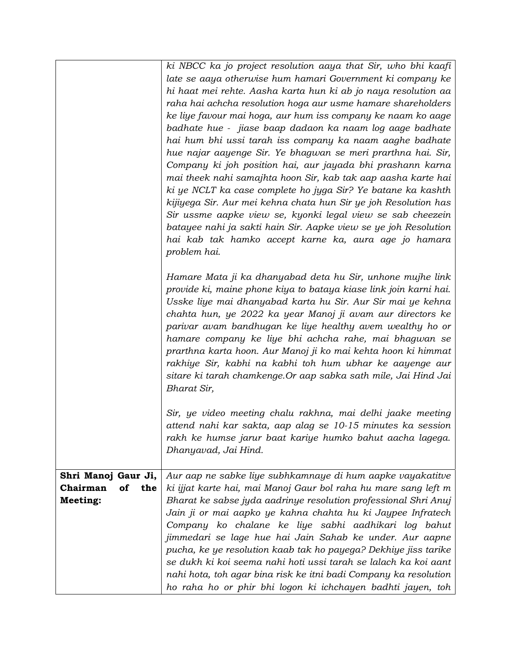|                       | ki NBCC ka jo project resolution aaya that Sir, who bhi kaafi     |
|-----------------------|-------------------------------------------------------------------|
|                       | late se aaya otherwise hum hamari Government ki company ke        |
|                       | hi haat mei rehte. Aasha karta hun ki ab jo naya resolution aa    |
|                       | raha hai achcha resolution hoga aur usme hamare shareholders      |
|                       | ke liye favour mai hoga, aur hum iss company ke naam ko aage      |
|                       | badhate hue - jiase baap dadaon ka naam log aage badhate          |
|                       |                                                                   |
|                       | hai hum bhi ussi tarah iss company ka naam aaghe badhate          |
|                       | hue najar aayenge Sir. Ye bhagwan se meri prarthna hai. Sir,      |
|                       | Company ki joh position hai, aur jayada bhi prashann karna        |
|                       | mai theek nahi samajhta hoon Sir, kab tak aap aasha karte hai     |
|                       | ki ye NCLT ka case complete ho jyga Sir? Ye batane ka kashth      |
|                       | kijiyega Sir. Aur mei kehna chata hun Sir ye joh Resolution has   |
|                       | Sir ussme aapke view se, kyonki legal view se sab cheezein        |
|                       | batayee nahi ja sakti hain Sir. Aapke view se ye joh Resolution   |
|                       | hai kab tak hamko accept karne ka, aura age jo hamara             |
|                       | problem hai.                                                      |
|                       | Hamare Mata ji ka dhanyabad deta hu Sir, unhone mujhe link        |
|                       | provide ki, maine phone kiya to bataya kiase link join karni hai. |
|                       | Usske liye mai dhanyabad karta hu Sir. Aur Sir mai ye kehna       |
|                       | chahta hun, ye 2022 ka year Manoj ji avam aur directors ke        |
|                       | parivar avam bandhugan ke liye healthy avem wealthy ho or         |
|                       | hamare company ke liye bhi achcha rahe, mai bhagwan se            |
|                       | prarthna karta hoon. Aur Manoj ji ko mai kehta hoon ki himmat     |
|                       | rakhiye Sir, kabhi na kabhi toh hum ubhar ke aayenge aur          |
|                       | sitare ki tarah chamkenge. Or aap sabka sath mile, Jai Hind Jai   |
|                       | Bharat Sir,                                                       |
|                       |                                                                   |
|                       | Sir, ye video meeting chalu rakhna, mai delhi jaake meeting       |
|                       | attend nahi kar sakta, aap alag se 10-15 minutes ka session       |
|                       | rakh ke humse jarur baat kariye humko bahut aacha lagega.         |
|                       | Dhanyavad, Jai Hind.                                              |
| Shri Manoj Gaur Ji,   | Aur aap ne sabke liye subhkamnaye di hum aapke vayakatitve        |
| Chairman<br>of<br>the | ki ijjat karte hai, mai Manoj Gaur bol raha hu mare sang left m   |
| Meeting:              | Bharat ke sabse jyda aadrinye resolution professional Shri Anuj   |
|                       | Jain ji or mai aapko ye kahna chahta hu ki Jaypee Infratech       |
|                       | Company ko chalane ke liye sabhi aadhikari log bahut              |
|                       | jimmedari se lage hue hai Jain Sahab ke under. Aur aapne          |
|                       | pucha, ke ye resolution kaab tak ho payega? Dekhiye jiss tarike   |
|                       | se dukh ki koi seema nahi hoti ussi tarah se lalach ka koi aant   |
|                       | nahi hota, toh agar bina risk ke itni badi Company ka resolution  |
|                       | ho raha ho or phir bhi logon ki ichchayen badhti jayen, toh       |